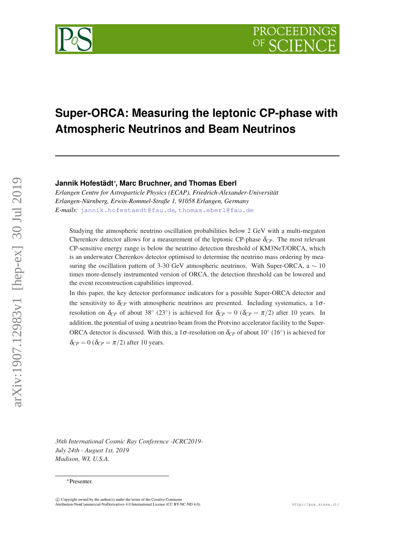

# **Super-ORCA: Measuring the leptonic CP-phase with Atmospheric Neutrinos and Beam Neutrinos**

**Jannik Hofestädt**<sup>∗</sup> **, Marc Bruchner, and Thomas Eberl**

*Erlangen Centre for Astroparticle Physics (ECAP), Friedrich-Alexander-Universität Erlangen-Nürnberg, Erwin-Rommel-Straße 1, 91058 Erlangen, Germany E-mails:* [jannik.hofestaedt@fau.de](mailto:jannik.hofestaedt@fau.de)*,* [thomas.eberl@fau.de](mailto:thomas.eberl@fau.de)

Studying the atmospheric neutrino oscillation probabilities below 2 GeV with a multi-megaton Cherenkov detector allows for a measurement of the leptonic CP-phase δ*CP*. The most relevant CP-sensitive energy range is below the neutrino detection threshold of KM3NeT/ORCA, which is an underwater Cherenkov detector optimised to determine the neutrino mass ordering by measuring the oscillation pattern of 3-30 GeV atmospheric neutrinos. With Super-ORCA, a  $\sim 10$ times more-densely instrumented version of ORCA, the detection threshold can be lowered and the event reconstruction capabilities improved.

In this paper, the key detector performance indicators for a possible Super-ORCA detector and the sensitivity to  $\delta_{CP}$  with atmospheric neutrinos are presented. Including systematics, a 1 $\sigma$ resolution on  $\delta_{CP}$  of about 38° (23°) is achieved for  $\delta_{CP} = 0$  ( $\delta_{CP} = \pi/2$ ) after 10 years. In addition, the potential of using a neutrino beam from the Protvino accelerator facility to the Super-ORCA detector is discussed. With this, a 1 $\sigma$ -resolution on  $\delta_{CP}$  of about 10° (16°) is achieved for  $\delta_{CP} = 0$  ( $\delta_{CP} = \pi/2$ ) after 10 years.

*36th International Cosmic Ray Conference -ICRC2019- July 24th - August 1st, 2019 Madison, WI, U.S.A.*

arXiv:1907.12983v1 [hep-ex] 30 Jul 2019

arXiv:1907.12983v1 [hep-ex] 30 Jul 2019

<sup>∗</sup>Presenter.

 $\overline{c}$  Copyright owned by the author(s) under the terms of the Creative Commons Attribution-NonCommercial-NoDerivatives 4.0 International License (CC BY-NC-ND 4.0). http://pos.sissa.it/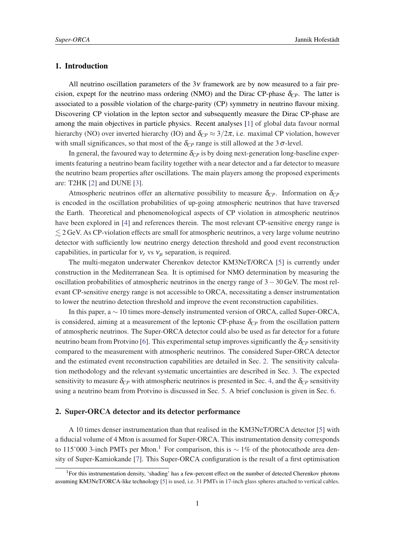## 1. Introduction

All neutrino oscillation parameters of the  $3v$  framework are by now measured to a fair precision, expept for the neutrino mass ordering (NMO) and the Dirac CP-phase  $\delta_{CP}$ . The latter is associated to a possible violation of the charge-parity (CP) symmetry in neutrino flavour mixing. Discovering CP violation in the lepton sector and subsequently measure the Dirac CP-phase are among the main objectives in particle physics. Recent analyses [\[1\]](#page-7-0) of global data favour normal hierarchy (NO) over inverted hierarchy (IO) and  $\delta_{CP} \approx 3/2\pi$ , i.e. maximal CP violation, however with small significances, so that most of the  $\delta_{CP}$  range is still allowed at the 3 $\sigma$ -level.

In general, the favoured way to determine  $\delta_{CP}$  is by doing next-generation long-baseline experiments featuring a neutrino beam facility together with a near detector and a far detector to measure the neutrino beam properties after oscillations. The main players among the proposed experiments are: T2HK [\[2\]](#page-7-0) and DUNE [\[3\]](#page-7-0).

Atmospheric neutrinos offer an alternative possibility to measure  $\delta_{CP}$ . Information on  $\delta_{CP}$ is encoded in the oscillation probabilities of up-going atmospheric neutrinos that have traversed the Earth. Theoretical and phenomenological aspects of CP violation in atmospheric neutrinos have been explored in [\[4\]](#page-7-0) and references therein. The most relevant CP-sensitive energy range is  $\leq$  2 GeV. As CP-violation effects are small for atmospheric neutrinos, a very large volume neutrinos detector with sufficiently low neutrino energy detection threshold and good event reconstruction capabilities, in particular for  $v_e$  vs  $v_\mu$  separation, is required.

The multi-megaton underwater Cherenkov detector KM3NeT/ORCA [\[5\]](#page-7-0) is currently under construction in the Mediterranean Sea. It is optimised for NMO determination by measuring the oscillation probabilities of atmospheric neutrinos in the energy range of 3−30 GeV. The most relevant CP-sensitive energy range is not accessible to ORCA, necessitating a denser instrumentation to lower the neutrino detection threshold and improve the event reconstruction capabilities.

In this paper, a ∼ 10 times more-densely instrumented version of ORCA, called Super-ORCA, is considered, aiming at a measurement of the leptonic CP-phase  $\delta_{CP}$  from the oscillation pattern of atmospheric neutrinos. The Super-ORCA detector could also be used as far detector for a future neutrino beam from Protvino [\[6\]](#page-7-0). This experimental setup improves significantly the  $\delta_{CP}$  sensitivity compared to the measurement with atmospheric neutrinos. The considered Super-ORCA detector and the estimated event reconstruction capabilities are detailed in Sec. 2. The sensitivity calculation methodology and the relevant systematic uncertainties are described in Sec. [3.](#page-2-0) The expected sensitivity to measure  $\delta_{CP}$  with atmospheric neutrinos is presented in Sec. [4,](#page-4-0) and the  $\delta_{CP}$  sensitivity using a neutrino beam from Protvino is discussed in Sec. [5](#page-5-0). A brief conclusion is given in Sec. [6.](#page-6-0)

## 2. Super-ORCA detector and its detector performance

A 10 times denser instrumentation than that realised in the KM3NeT/ORCA detector [[5](#page-7-0)] with a fiducial volume of 4 Mton is assumed for Super-ORCA. This instrumentation density corresponds to 115'000 3-inch PMTs per Mton.<sup>1</sup> For comparison, this is  $\sim 1\%$  of the photocathode area density of Super-Kamiokande [[7](#page-7-0)]. This Super-ORCA configuration is the result of a first optimisation

<sup>&</sup>lt;sup>1</sup>For this instrumentation density, 'shading' has a few-percent effect on the number of detected Cherenkov photons assuming KM3NeT/ORCA-like technology [[5](#page-7-0)] is used, i.e. 31 PMTs in 17-inch glass spheres attached to vertical cables.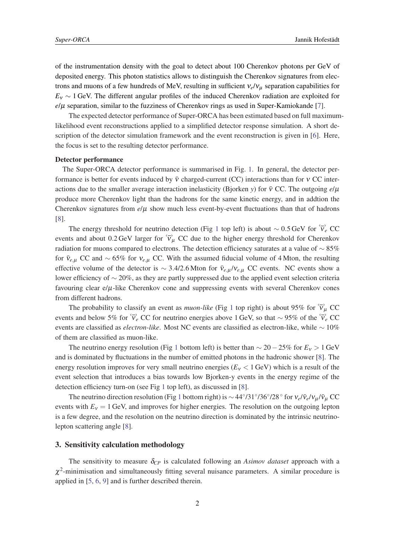<span id="page-2-0"></span>of the instrumentation density with the goal to detect about 100 Cherenkov photons per GeV of deposited energy. This photon statistics allows to distinguish the Cherenkov signatures from electrons and muons of a few hundreds of MeV, resulting in sufficient ν*e*/ν<sup>µ</sup> separation capabilities for  $E<sub>V</sub>$  ∼ 1 GeV. The different angular profiles of the induced Cherenkov radiation are exploited for *e*/µ separation, similar to the fuzziness of Cherenkov rings as used in Super-Kamiokande [[7](#page-7-0)].

The expected detector performance of Super-ORCA has been estimated based on full maximumlikelihood event reconstructions applied to a simplified detector response simulation. A short description of the detector simulation framework and the event reconstruction is given in [[6\]](#page-7-0). Here, the focus is set to the resulting detector performance.

#### Detector performance

The Super-ORCA detector performance is summarised in Fig. [1.](#page-3-0) In general, the detector performance is better for events induced by  $\bar{v}$  charged-current (CC) interactions than for  $v$  CC interactions due to the smaller average interaction inelasticity (Bjorken *y*) for  $\bar{v}$  CC. The outgoing  $e/\mu$ produce more Cherenkov light than the hadrons for the same kinetic energy, and in addtion the Cherenkov signatures from  $e/\mu$  show much less event-by-event fluctuations than that of hadrons [[8](#page-7-0)].

The energy threshold for neutrino detection (Fig [1](#page-3-0) top left) is about ~ 0.5 GeV for  $\tilde{v}_e$  CC events and about 0.2 GeV larger for  $\overleftrightarrow{v}_{\mu}$  CC due to the higher energy threshold for Cherenkov radiation for muons compared to electrons. The detection efficiency saturates at a value of  $\sim$  85% for  $\bar{v}_{e,\mu}$  CC and ~ 65% for  $v_{e,\mu}$  CC. With the assumed fiducial volume of 4 Mton, the resulting effective volume of the detector is ~ 3.4/2.6 Mton for  $\bar{v}_{e,\mu}/v_{e,\mu}$  CC events. NC events show a lower efficiency of ∼ 20%, as they are partly suppressed due to the applied event selection criteria favouring clear  $e/\mu$ -like Cherenkov cone and suppressing events with several Cherenkov cones from different hadrons.

The probability to classify an event as *muon-like* (Fig [1](#page-3-0) top right) is about 95% for  $\tilde{v}_u$  CC events and below 5% for  $\overleftrightarrow{v}_e$  CC for neutrino energies above 1 GeV, so that ~ 95% of the  $\overleftrightarrow{v}_e$  CC events are classified as *electron-like*. Most NC events are classified as electron-like, while ∼ 10% of them are classified as muon-like.

The neutrino energy resolution (Fig [1](#page-3-0) bottom left) is better than  $\sim$  20−25% for  $E_v > 1$  GeV and is dominated by fluctuations in the number of emitted photons in the hadronic shower [[8](#page-7-0)]. The energy resolution improves for very small neutrino energies ( $E<sub>v</sub>$  < 1 GeV) which is a result of the event selection that introduces a bias towards low Bjorken-y events in the energy regime of the detection efficiency turn-on (see Fig [1](#page-3-0) top left), as discussed in [\[8\]](#page-7-0).

The neutrino direction resolution (Fig [1](#page-3-0) bottom right) is  $\sim 44^{\circ}/31^{\circ}/36^{\circ}/28^{\circ}$  for  $v_e/\bar{v}_e/v_\mu/\bar{v}_\mu$  CC events with  $E<sub>v</sub> = 1$  GeV, and improves for higher energies. The resolution on the outgoing lepton is a few degree, and the resolution on the neutrino direction is dominated by the intrinsic neutrinolepton scattering angle [\[8\]](#page-7-0).

# 3. Sensitivity calculation methodology

The sensitivity to measure  $\delta_{CP}$  is calculated following an *Asimov dataset* approach with a  $\chi^2$ -minimisation and simultaneously fitting several nuisance parameters. A similar procedure is applied in [\[5](#page-7-0), [6](#page-7-0), [9](#page-7-0)] and is further described therein.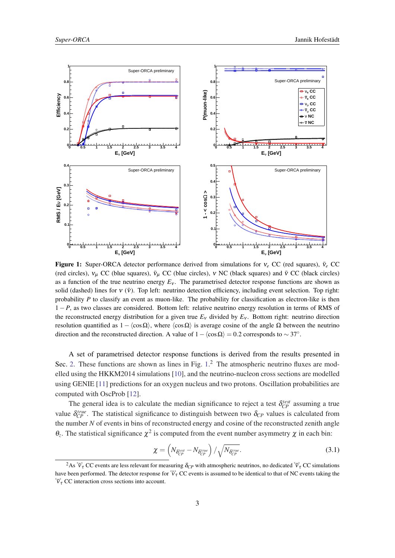<span id="page-3-0"></span>

Figure 1: Super-ORCA detector performance derived from simulations for  $v_e$  CC (red squares),  $\bar{v}_e$  CC (red circles),  $v_{\mu}$  CC (blue squares),  $\bar{v}_{\mu}$  CC (blue circles),  $v$  NC (black squares) and  $\bar{v}$  CC (black circles) as a function of the true neutrino energy  $E<sub>v</sub>$ . The parametrised detector response functions are shown as solid (dashed) lines for  $v(\bar{v})$ . Top left: neutrino detection efficiency, including event selection. Top right: probability *P* to classify an event as muon-like. The probability for classification as electron-like is then 1 − *P*, as two classes are considered. Bottom left: relative neutrino energy resolution in terms of RMS of the reconstructed energy distribution for a given true  $E<sub>V</sub>$  divided by  $E<sub>V</sub>$ . Bottom right: neutrino direction resolution quantified as  $1 - \langle \cos \Omega \rangle$ , where  $\langle \cos \Omega \rangle$  is average cosine of the angle  $\Omega$  between the neutrino direction and the reconstructed direction. A value of  $1 - \langle \cos \Omega \rangle = 0.2$  corresponds to  $\sim 37^\circ$ .

A set of parametrised detector response functions is derived from the results presented in Sec. [2.](#page-2-0) These functions are shown as lines in Fig. 1.<sup>2</sup> The atmospheric neutrino fluxes are modelled using the HKKM2014 simulations [[10\]](#page-7-0), and the neutrino-nucleon cross sections are modelled using GENIE [\[11](#page-7-0)] predictions for an oxygen nucleus and two protons. Oscillation probabilities are computed with OscProb [\[12](#page-7-0)].

The general idea is to calculate the median significance to reject a test  $\delta_{CP}^{test}$  assuming a true value  $\delta_{CP}^{true}$ . The statistical significance to distinguish between two  $\delta_{CP}$  values is calculated from the number *N* of events in bins of reconstructed energy and cosine of the reconstructed zenith angle  $θ_z$ . The statistical significance  $χ²$  is computed from the event number asymmetry  $χ$  in each bin:

$$
\chi = \left( N_{\delta_{CP}^{test}} - N_{\delta_{CP}^{true}} \right) / \sqrt{N_{\delta_{CP}^{true}}}.
$$
\n(3.1)

<sup>&</sup>lt;sup>2</sup>As  $\overleftrightarrow{v_{\tau}}$  CC events are less relevant for measuring  $\delta_{CP}$  with atmospheric neutrinos, no dedicated  $\overleftrightarrow{v_{\tau}}$  CC simulations have been performed. The detector response for  $\overleftrightarrow{v_{\tau}}$  CC events is assumed to be identical to that of NC events taking the  $\overleftrightarrow{v}_\tau$  CC interaction cross sections into account.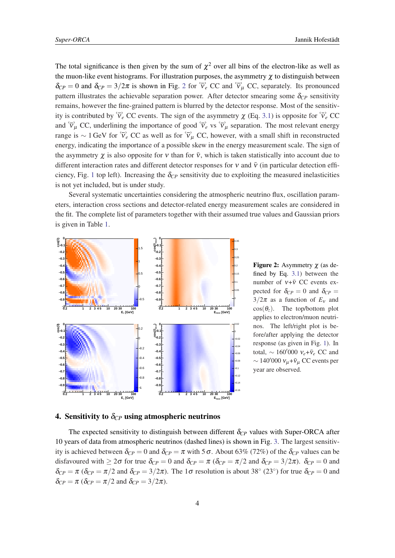<span id="page-4-0"></span>The total significance is then given by the sum of  $\chi^2$  over all bins of the electron-like as well as the muon-like event histograms. For illustration purposes, the asymmetry  $\chi$  to distinguish between  $\delta_{CP} = 0$  and  $\delta_{CP} = 3/2\pi$  is shown in Fig. 2 for  $\tilde{v}_e$  CC and  $\tilde{v}_\mu$  CC, separately. Its pronounced pattern illustrates the achievable separation power. After detector smearing some  $\delta_{CP}$  sensitivity remains, however the fine-grained pattern is blurred by the detector response. Most of the sensitivity is contributed by  $\overleftrightarrow{v}_e$  CC events. The sign of the asymmetry  $\chi$  (Eq. [3.1\)](#page-3-0) is opposite for  $\overleftrightarrow{v}_e$  CC and  $\overleftrightarrow{v}_{\mu}$  CC, underlining the importance of good  $\overleftrightarrow{v}_{e}$  vs  $\overleftrightarrow{v}_{\mu}$  separation. The most relevant energy range is ~ 1 GeV for  $\overleftrightarrow{v}_e$  CC as well as for  $\overleftrightarrow{v}_u$  CC, however, with a small shift in reconstructed energy, indicating the importance of a possible skew in the energy measurement scale. The sign of the asymmetry  $\chi$  is also opposite for v than for  $\bar{v}$ , which is taken statistically into account due to different interaction rates and different detector responses for v and  $\bar{v}$  (in particular detection effi-ciency, Fig. [1](#page-3-0) top left). Increasing the  $\delta_{CP}$  sensitivity due to exploiting the measured inelasticities is not yet included, but is under study.

Several systematic uncertainties considering the atmospheric neutrino flux, oscillation parameters, interaction cross sections and detector-related energy measurement scales are considered in the fit. The complete list of parameters together with their assumed true values and Gaussian priors is given in Table [1](#page-5-0).



**Figure 2:** Asymmetry  $\chi$  (as defined by Eq. [3.1](#page-3-0)) between the number of  $v+\bar{v}$  CC events expected for  $\delta_{CP} = 0$  and  $\delta_{CP} =$  $3/2\pi$  as a function of  $E_v$  and  $\cos(\theta_z)$ . The top/bottom plot applies to electron/muon neutrinos. The left/right plot is before/after applying the detector response (as given in Fig. [1](#page-3-0)). In total,  $\sim 160'000 \, v_e + \bar{v}_e$  CC and  $\sim$  140'000  $v_\mu + \bar{v}_\mu$  CC events per year are observed.

# 4. Sensitivity to  $\delta_{CP}$  using atmospheric neutrinos

The expected sensitivity to distinguish between different  $\delta_{CP}$  values with Super-ORCA after 10 years of data from atmospheric neutrinos (dashed lines) is shown in Fig. [3](#page-5-0). The largest sensitivity is achieved between  $\delta_{CP} = 0$  and  $\delta_{CP} = \pi$  with 5  $\sigma$ . About 63% (72%) of the  $\delta_{CP}$  values can be disfavoured with  $\geq 2\sigma$  for true  $\delta_{CP} = 0$  and  $\delta_{CP} = \pi (\delta_{CP} = \pi/2$  and  $\delta_{CP} = 3/2\pi)$ .  $\delta_{CP} = 0$  and  $\delta_{CP} = \pi (\delta_{CP} = \pi/2$  and  $\delta_{CP} = 3/2\pi$ ). The 1 $\sigma$  resolution is about 38° (23°) for true  $\delta_{CP} = 0$  and  $\delta_{CP} = \pi \left( \delta_{CP} = \pi/2 \text{ and } \delta_{CP} = 3/2\pi \right).$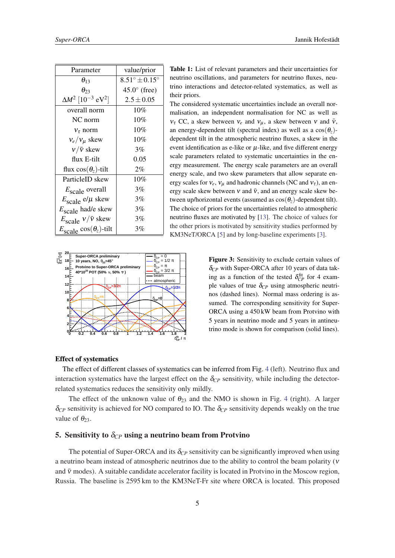<span id="page-5-0"></span>

| Parameter                                        | value/prior                     |
|--------------------------------------------------|---------------------------------|
| $\theta_{13}$                                    | $8.51^{\circ} \pm 0.15^{\circ}$ |
| $\theta$                                         | $45.0^{\circ}$ (free)           |
| $\Delta M^2$ [10 <sup>-3</sup> eV <sup>2</sup> ] | $2.5 \pm 0.05$                  |
| overall norm                                     | 10%                             |
| $NC$ norm                                        | 10%                             |
| $v_{\tau}$ norm                                  | 10%                             |
| $v_e/v_\mu$ skew                                 | 10%                             |
| $v/\bar{v}$ skew                                 | 3%                              |
| flux E-tilt                                      | 0.05                            |
| flux $cos(\theta_z)$ -tilt                       | $2\%$                           |
| ParticleID skew                                  | 10%                             |
| $E_{scale}$ overall                              | 3%                              |
| $E_{scale}$ e/ $\mu$ skew                        | 3%                              |
| $E_{scale}$ had/e skew                           | 3%                              |
| $E_{scale}$ $v/\bar{v}$ skew                     | 3%                              |
| $E_{\text{scale}} \cos(\theta_z)$ -tilt          | 3%                              |



Table 1: List of relevant parameters and their uncertainties for neutrino oscillations, and parameters for neutrino fluxes, neutrino interactions and detector-related systematics, as well as their priors.

The considered systematic uncertainties include an overall normalisation, an independent normalisation for NC as well as  $v_{\tau}$  CC, a skew between  $v_e$  and  $v_{\mu}$ , a skew between v and  $\bar{v}$ , an energy-dependent tilt (spectral index) as well as a  $cos(\theta_z)$ dependent tilt in the atmospheric neutrino fluxes, a skew in the event identification as e-like or  $\mu$ -like, and five different energy scale parameters related to systematic uncertainties in the energy measurement. The energy scale parameters are an overall energy scale, and two skew parameters that allow separate energy scales for  $v_e$ ,  $v_u$  and hadronic channels (NC and  $v_\tau$ ), an energy scale skew between  $v$  and  $\bar{v}$ , and an energy scale skew between up/horizontal events (assumed as  $\cos(\theta_z)$ -dependent tilt). The choice of priors for the uncertainties related to atmospheric neutrino fluxes are motivated by [\[13](#page-7-0)]. The choice of values for the other priors is motivated by sensitivity studies performed by KM3NeT/ORCA [[5\]](#page-7-0) and by long-baseline experiments [[3\]](#page-7-0).

> Figure 3: Sensitivity to exclude certain values of δ*CP* with Super-ORCA after 10 years of data taking as a function of the tested  $\delta_{CP}^{\text{fit}}$  for 4 example values of true  $\delta_{CP}$  using atmospheric neutrinos (dashed lines). Normal mass ordering is assumed. The corresponding sensitivity for Super-ORCA using a 450 kW beam from Protvino with 5 years in neutrino mode and 5 years in antineutrino mode is shown for comparison (solid lines).

### Effect of systematics

The effect of different classes of systematics can be inferred from Fig. [4](#page-6-0) (left). Neutrino flux and interaction systematics have the largest effect on the  $\delta_{CP}$  sensitivity, while including the detectorrelated systematics reduces the sensitivity only mildly.

The effect of the unknown value of  $\theta_{23}$  and the NMO is shown in Fig. [4](#page-6-0) (right). A larger  $\delta_{CP}$  sensitivity is achieved for NO compared to IO. The  $\delta_{CP}$  sensitivity depends weakly on the true value of  $\theta_{23}$ .

# 5. Sensitivity to  $\delta_{CP}$  using a neutrino beam from Protvino

The potential of Super-ORCA and its  $\delta_{CP}$  sensitivity can be significantly improved when using a neutrino beam instead of atmospheric neutrinos due to the ability to control the beam polarity (ν and  $\bar{v}$  modes). A suitable candidate accelerator facility is located in Protvino in the Moscow region, Russia. The baseline is 2595 km to the KM3NeT-Fr site where ORCA is located. This proposed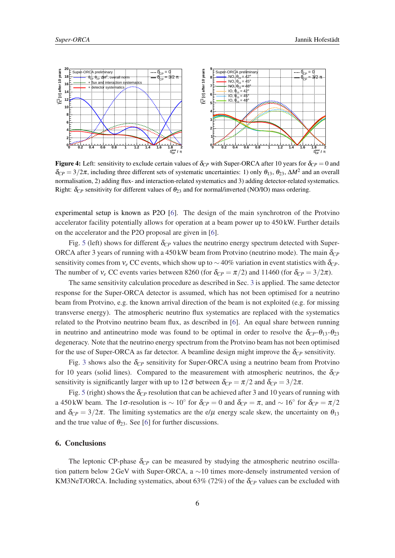<span id="page-6-0"></span>

**Figure 4:** Left: sensitivity to exclude certain values of  $\delta_{CP}$  with Super-ORCA after 10 years for  $\delta_{CP} = 0$  and  $\delta_{CP} = 3/2\pi$ , including three different sets of systematic uncertainties: 1) only  $\theta_{13}$ ,  $\theta_{23}$ ,  $\Delta M^2$  and an overall normalisation, 2) adding flux- and interaction-related systematics and 3) adding detector-related systematics. Right:  $\delta_{CP}$  sensitivity for different values of  $\theta_{23}$  and for normal/inverted (NO/IO) mass ordering.

experimental setup is known as P2O [\[6\]](#page-7-0). The design of the main synchrotron of the Protvino accelerator facility potentially allows for operation at a beam power up to 450 kW. Further details on the accelerator and the P2O proposal are given in [[6](#page-7-0)].

Fig. [5](#page-7-0) (left) shows for different  $\delta_{CP}$  values the neutrino energy spectrum detected with Super-ORCA after 3 years of running with a 450 kW beam from Protvino (neutrino mode). The main  $\delta_{CP}$ sensitivity comes from  $v_e$  CC events, which show up to  $\sim$  40% variation in event statistics with  $\delta_{CP}$ . The number of  $v_e$  CC events varies between 8260 (for  $\delta_{CP} = \pi/2$ ) and 11460 (for  $\delta_{CP} = 3/2\pi$ ).

The same sensitivity calculation procedure as described in Sec. [3](#page-2-0) is applied. The same detector response for the Super-ORCA detector is assumed, which has not been optimised for a neutrino beam from Protvino, e.g. the known arrival direction of the beam is not exploited (e.g. for missing transverse energy). The atmospheric neutrino flux systematics are replaced with the systematics related to the Protvino neutrino beam flux, as described in [\[6\]](#page-7-0). An equal share between running in neutrino and antineutrino mode was found to be optimal in order to resolve the  $\delta_{CP}$ - $\theta_{13}$ - $\theta_{23}$ degeneracy. Note that the neutrino energy spectrum from the Protvino beam has not been optimised for the use of Super-ORCA as far detector. A beamline design might improve the  $\delta_{CP}$  sensitivity.

Fig. [3](#page-5-0) shows also the δ*CP* sensitivity for Super-ORCA using a neutrino beam from Protvino for 10 years (solid lines). Compared to the measurement with atmospheric neutrinos, the  $\delta_{CP}$ sensitivity is significantly larger with up to  $12\sigma$  between  $\delta_{CP} = \pi/2$  and  $\delta_{CP} = 3/2\pi$ .

Fig. [5](#page-7-0) (right) shows the  $\delta_{CP}$  resolution that can be achieved after 3 and 10 years of running with a 450 kW beam. The 1 $\sigma$ -resolution is  $\sim 10^{\circ}$  for  $\delta_{CP} = 0$  and  $\delta_{CP} = \pi$ , and  $\sim 16^{\circ}$  for  $\delta_{CP} = \pi/2$ and  $\delta_{CP} = 3/2\pi$ . The limiting systematics are the e/ $\mu$  energy scale skew, the uncertainty on  $\theta_{13}$ and the true value of  $\theta_{23}$ . See [[6](#page-7-0)] for further discussions.

#### 6. Conclusions

The leptonic CP-phase  $\delta_{CP}$  can be measured by studying the atmospheric neutrino oscillation pattern below 2 GeV with Super-ORCA, a ∼10 times more-densely instrumented version of KM3NeT/ORCA. Including systematics, about 63% (72%) of the  $\delta_{CP}$  values can be excluded with